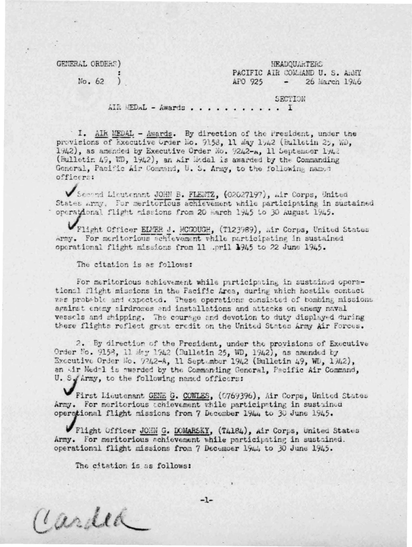GENERAL ORDERS)

**HEADOUARTERS** PACIFIC AIR COMMAND U. S. AGMY AFO 925  $-26$  March 1946

 $No. 62$  )

SECTION

AIR MEDAL - Awards . . . . . . . . . . . I

I. AIR MEDAL - Awards. By direction of the President, under the provisions of Executive Grder No. 9158, 11 May 1942 (Bulletin 25, WD, 1942), as amended by Executive Order No. 9242-A. 11 September 1942 (Bulletin 49, WD, 1942), an Air Wodal is awarded by the Commanding General, Pacific Air Command, U. S. Army, to the following named officers:

Second Lieutenant JOHN B. FLEWTZ, (02027197), air Corps, United States Army. For meritorious achievement while participating in sustained operational flight missions from 20 March 1945 to 30 August 1945.

Flight Officer ELMER J. MCGOUGH, (T123989), mir Corps, United States Army. For meritorious achievement while participating in sustained operational flight missions from 11 .pril 1945 to 22 June 1945.

The citation is as follows:

For meritorious achievement while participating in sustained operational flight missions in the Facific Area, during which hostile contact was probable and expected. These operations consisted of bombing missions against enemy sirdromes and installations and attacks on enemy naval vessels and shipping. The courage and devotion to duty displayed during these flights reflect great credit on the United States Army Air Forces.

2. By direction of the President, under the provisions of Executive Order No. 9158, 11 May 1942 (Bulletin 25, WD, 1942), as amended by Executive Order No. 9242-A, 11 September 1942 (Bulletin 49, WD, 1942), an wir Medal is awarded by the Commanding General, Pacific Air Command, U. S. Army, to the following named officers:

First Lieutenant GENE G. COWLES, (0769396), Air Corps, United States Army. For meritorious conlevement while participating in sustained operational flight missions from 7 December 1944 to 30 June 1945.

Flight Officer JOHN G. DOMARSKY, (TA184), Air Corps, United States Army. For meritorious achievement while participating in sustained. operational flight missions from 7 December 1944 to 30 June 1945.

 $-1-$ 

The citation is as follows:

Cardea